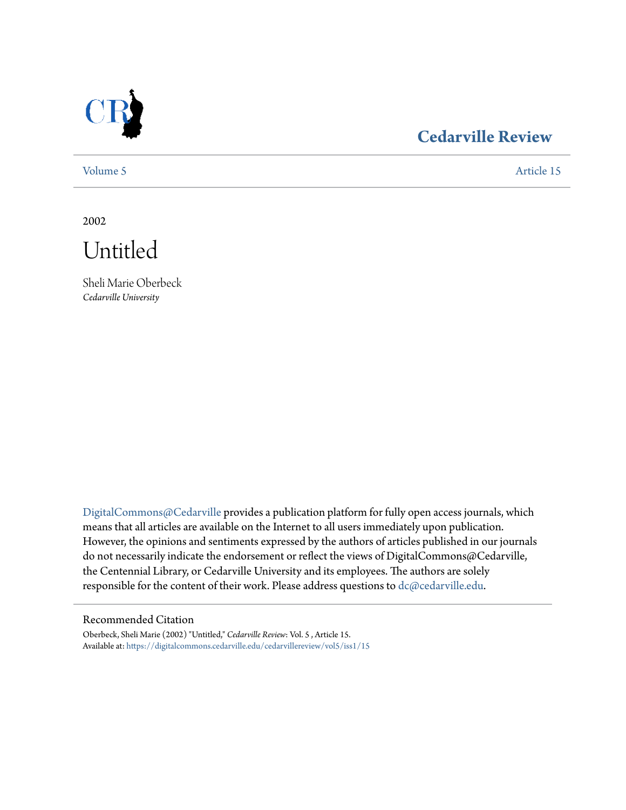

## **[Cedarville Review](https://digitalcommons.cedarville.edu/cedarvillereview?utm_source=digitalcommons.cedarville.edu%2Fcedarvillereview%2Fvol5%2Fiss1%2F15&utm_medium=PDF&utm_campaign=PDFCoverPages)**

[Volume 5](https://digitalcommons.cedarville.edu/cedarvillereview/vol5?utm_source=digitalcommons.cedarville.edu%2Fcedarvillereview%2Fvol5%2Fiss1%2F15&utm_medium=PDF&utm_campaign=PDFCoverPages) [Article 15](https://digitalcommons.cedarville.edu/cedarvillereview/vol5/iss1/15?utm_source=digitalcommons.cedarville.edu%2Fcedarvillereview%2Fvol5%2Fiss1%2F15&utm_medium=PDF&utm_campaign=PDFCoverPages)

2002

Untitled

Sheli Marie Oberbeck *Cedarville University*

[DigitalCommons@Cedarville](http://digitalcommons.cedarville.edu) provides a publication platform for fully open access journals, which means that all articles are available on the Internet to all users immediately upon publication. However, the opinions and sentiments expressed by the authors of articles published in our journals do not necessarily indicate the endorsement or reflect the views of DigitalCommons@Cedarville, the Centennial Library, or Cedarville University and its employees. The authors are solely responsible for the content of their work. Please address questions to [dc@cedarville.edu](mailto:dc@cedarville.edu).

#### Recommended Citation

Oberbeck, Sheli Marie (2002) "Untitled," *Cedarville Review*: Vol. 5 , Article 15. Available at: [https://digitalcommons.cedarville.edu/cedarvillereview/vol5/iss1/15](https://digitalcommons.cedarville.edu/cedarvillereview/vol5/iss1/15?utm_source=digitalcommons.cedarville.edu%2Fcedarvillereview%2Fvol5%2Fiss1%2F15&utm_medium=PDF&utm_campaign=PDFCoverPages)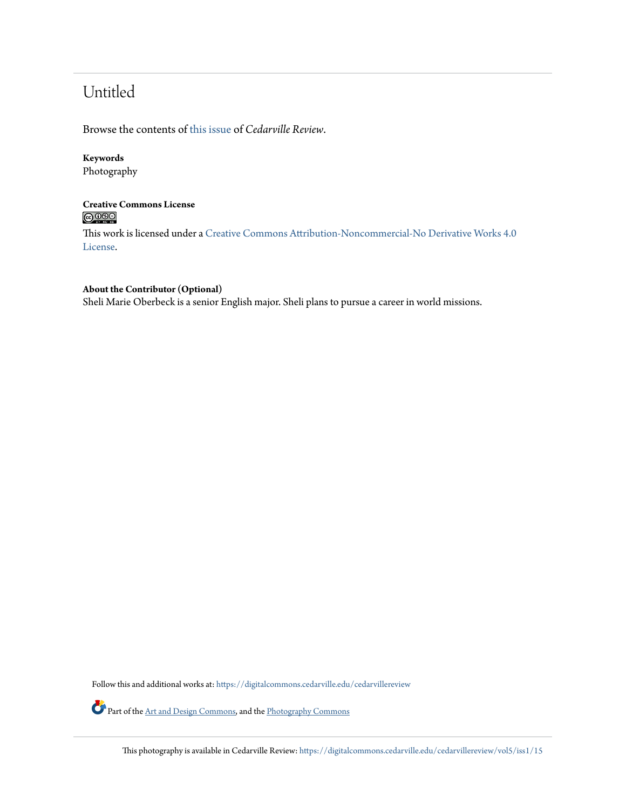# Untitled

Browse the contents of [this issue](https://digitalcommons.cedarville.edu/cedarvillereview/vol5/iss1) of *Cedarville Review*.

## **Keywords**

Photography

## **Creative Commons License**  $\bigcirc$   $\circ$

This work is licensed under a [Creative Commons Attribution-Noncommercial-No Derivative Works 4.0](http://creativecommons.org/licenses/by-nc-nd/4.0/) [License.](http://creativecommons.org/licenses/by-nc-nd/4.0/)

## **About the Contributor (Optional)**

Sheli Marie Oberbeck is a senior English major. Sheli plans to pursue a career in world missions.

Follow this and additional works at: [https://digitalcommons.cedarville.edu/cedarvillereview](https://digitalcommons.cedarville.edu/cedarvillereview?utm_source=digitalcommons.cedarville.edu%2Fcedarvillereview%2Fvol5%2Fiss1%2F15&utm_medium=PDF&utm_campaign=PDFCoverPages)

Part of the [Art and Design Commons,](http://network.bepress.com/hgg/discipline/1049?utm_source=digitalcommons.cedarville.edu%2Fcedarvillereview%2Fvol5%2Fiss1%2F15&utm_medium=PDF&utm_campaign=PDFCoverPages) and the [Photography Commons](http://network.bepress.com/hgg/discipline/1142?utm_source=digitalcommons.cedarville.edu%2Fcedarvillereview%2Fvol5%2Fiss1%2F15&utm_medium=PDF&utm_campaign=PDFCoverPages)